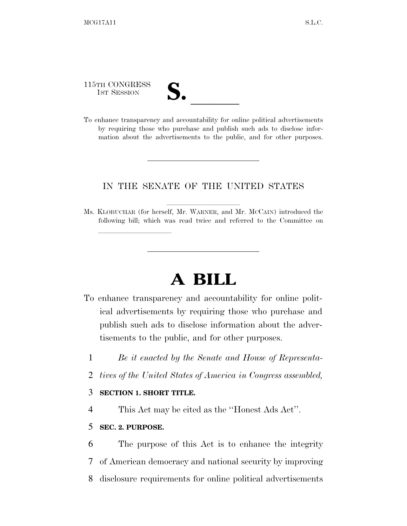115TH CONGRESS

- 
- 115TH CONGRESS<br>
1ST SESSION<br>
To enhance transparency and accountability for online political advertisements by requiring those who purchase and publish such ads to disclose information about the advertisements to the public, and for other purposes.

## IN THE SENATE OF THE UNITED STATES

Ms. KLOBUCHAR (for herself, Mr. WARNER, and Mr. McCAIN) introduced the following bill; which was read twice and referred to the Committee on

# **A BILL**

- To enhance transparency and accountability for online political advertisements by requiring those who purchase and publish such ads to disclose information about the advertisements to the public, and for other purposes.
	- 1 *Be it enacted by the Senate and House of Representa-*
	- 2 *tives of the United States of America in Congress assembled,*

### 3 **SECTION 1. SHORT TITLE.**

<u>llille som starte som starte som starte som s</u>

4 This Act may be cited as the ''Honest Ads Act''.

#### 5 **SEC. 2. PURPOSE.**

6 The purpose of this Act is to enhance the integrity 7 of American democracy and national security by improving 8 disclosure requirements for online political advertisements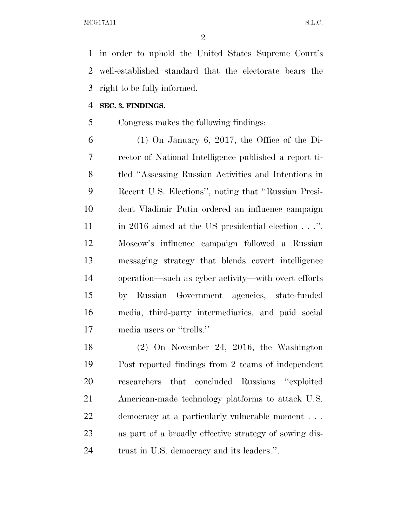in order to uphold the United States Supreme Court's well-established standard that the electorate bears the right to be fully informed.

#### **SEC. 3. FINDINGS.**

Congress makes the following findings:

 (1) On January 6, 2017, the Office of the Di- rector of National Intelligence published a report ti- tled ''Assessing Russian Activities and Intentions in Recent U.S. Elections'', noting that ''Russian Presi- dent Vladimir Putin ordered an influence campaign in 2016 aimed at the US presidential election . . .''. Moscow's influence campaign followed a Russian messaging strategy that blends covert intelligence operation—such as cyber activity—with overt efforts by Russian Government agencies, state-funded media, third-party intermediaries, and paid social media users or ''trolls.''

 (2) On November 24, 2016, the Washington Post reported findings from 2 teams of independent researchers that concluded Russians ''exploited American-made technology platforms to attack U.S. democracy at a particularly vulnerable moment . . . as part of a broadly effective strategy of sowing dis-trust in U.S. democracy and its leaders.''.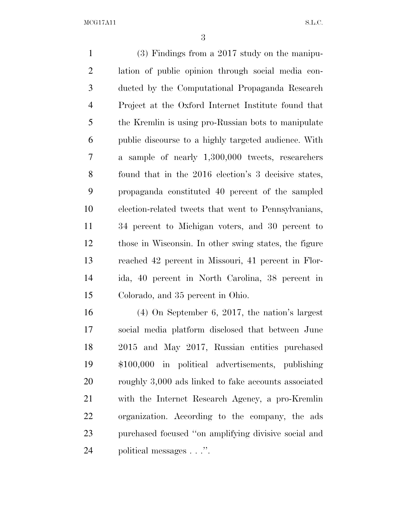(3) Findings from a 2017 study on the manipu- lation of public opinion through social media con- ducted by the Computational Propaganda Research Project at the Oxford Internet Institute found that the Kremlin is using pro-Russian bots to manipulate public discourse to a highly targeted audience. With a sample of nearly 1,300,000 tweets, researchers found that in the 2016 election's 3 decisive states, propaganda constituted 40 percent of the sampled election-related tweets that went to Pennsylvanians, 34 percent to Michigan voters, and 30 percent to those in Wisconsin. In other swing states, the figure reached 42 percent in Missouri, 41 percent in Flor- ida, 40 percent in North Carolina, 38 percent in Colorado, and 35 percent in Ohio.

 (4) On September 6, 2017, the nation's largest social media platform disclosed that between June 2015 and May 2017, Russian entities purchased \$100,000 in political advertisements, publishing 20 roughly 3,000 ads linked to fake accounts associated with the Internet Research Agency, a pro-Kremlin organization. According to the company, the ads purchased focused ''on amplifying divisive social and political messages . . .''.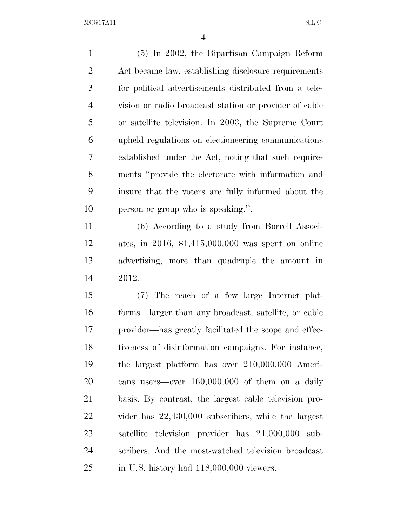(5) In 2002, the Bipartisan Campaign Reform Act became law, establishing disclosure requirements for political advertisements distributed from a tele- vision or radio broadcast station or provider of cable or satellite television. In 2003, the Supreme Court upheld regulations on electioneering communications established under the Act, noting that such require- ments ''provide the electorate with information and insure that the voters are fully informed about the person or group who is speaking.''.

 (6) According to a study from Borrell Associ- ates, in 2016, \$1,415,000,000 was spent on online advertising, more than quadruple the amount in 2012.

 (7) The reach of a few large Internet plat- forms—larger than any broadcast, satellite, or cable provider—has greatly facilitated the scope and effec- tiveness of disinformation campaigns. For instance, the largest platform has over 210,000,000 Ameri- cans users—over 160,000,000 of them on a daily basis. By contrast, the largest cable television pro- vider has 22,430,000 subscribers, while the largest satellite television provider has 21,000,000 sub- scribers. And the most-watched television broadcast in U.S. history had 118,000,000 viewers.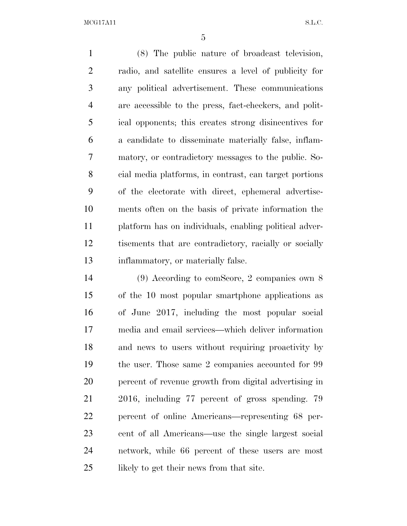(8) The public nature of broadcast television, radio, and satellite ensures a level of publicity for any political advertisement. These communications are accessible to the press, fact-checkers, and polit- ical opponents; this creates strong disincentives for a candidate to disseminate materially false, inflam- matory, or contradictory messages to the public. So- cial media platforms, in contrast, can target portions of the electorate with direct, ephemeral advertise- ments often on the basis of private information the platform has on individuals, enabling political adver- tisements that are contradictory, racially or socially inflammatory, or materially false.

 (9) According to comScore, 2 companies own 8 of the 10 most popular smartphone applications as of June 2017, including the most popular social media and email services—which deliver information and news to users without requiring proactivity by the user. Those same 2 companies accounted for 99 percent of revenue growth from digital advertising in 2016, including 77 percent of gross spending. 79 percent of online Americans—representing 68 per- cent of all Americans—use the single largest social network, while 66 percent of these users are most 25 likely to get their news from that site.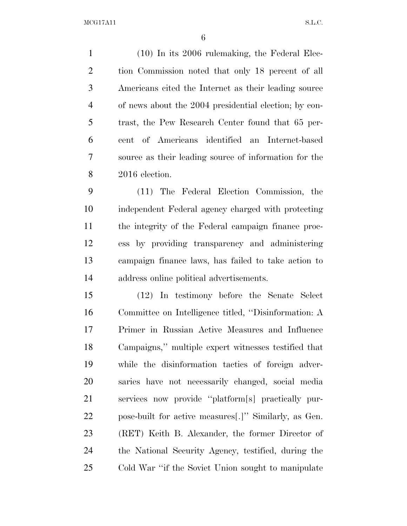(10) In its 2006 rulemaking, the Federal Elec- tion Commission noted that only 18 percent of all Americans cited the Internet as their leading source of news about the 2004 presidential election; by con- trast, the Pew Research Center found that 65 per- cent of Americans identified an Internet-based source as their leading source of information for the 2016 election.

 (11) The Federal Election Commission, the independent Federal agency charged with protecting the integrity of the Federal campaign finance proc- ess by providing transparency and administering campaign finance laws, has failed to take action to address online political advertisements.

 (12) In testimony before the Senate Select Committee on Intelligence titled, ''Disinformation: A Primer in Russian Active Measures and Influence Campaigns,'' multiple expert witnesses testified that while the disinformation tactics of foreign adver- saries have not necessarily changed, social media services now provide ''platform[s] practically pur- pose-built for active measures[.]'' Similarly, as Gen. (RET) Keith B. Alexander, the former Director of the National Security Agency, testified, during the Cold War ''if the Soviet Union sought to manipulate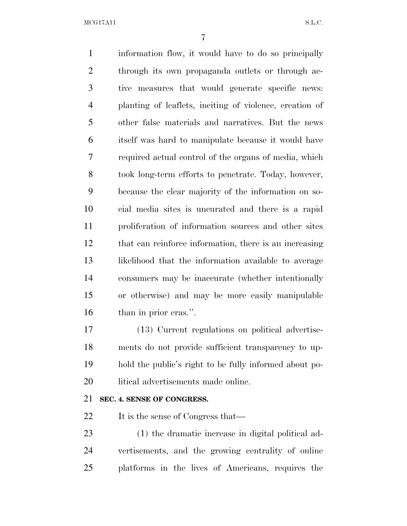information flow, it would have to do so principally 2 through its own propaganda outlets or through ac- tive measures that would generate specific news: planting of leaflets, inciting of violence, creation of other false materials and narratives. But the news itself was hard to manipulate because it would have required actual control of the organs of media, which took long-term efforts to penetrate. Today, however, because the clear majority of the information on so- cial media sites is uncurated and there is a rapid proliferation of information sources and other sites that can reinforce information, there is an increasing likelihood that the information available to average consumers may be inaccurate (whether intentionally or otherwise) and may be more easily manipulable than in prior eras.''.

 (13) Current regulations on political advertise- ments do not provide sufficient transparency to up- hold the public's right to be fully informed about po-20 litical advertisements made online.

# **SEC. 4. SENSE OF CONGRESS.**

22 It is the sense of Congress that—

 (1) the dramatic increase in digital political ad- vertisements, and the growing centrality of online platforms in the lives of Americans, requires the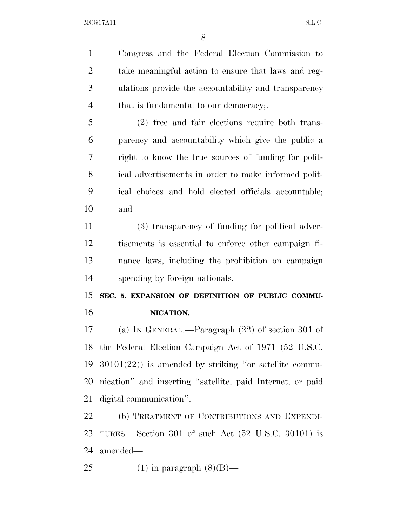Congress and the Federal Election Commission to take meaningful action to ensure that laws and reg- ulations provide the accountability and transparency 4 that is fundamental to our democracy;

 (2) free and fair elections require both trans- parency and accountability which give the public a right to know the true sources of funding for polit- ical advertisements in order to make informed polit- ical choices and hold elected officials accountable; and

 (3) transparency of funding for political adver- tisements is essential to enforce other campaign fi- nance laws, including the prohibition on campaign spending by foreign nationals.

 **SEC. 5. EXPANSION OF DEFINITION OF PUBLIC COMMU-NICATION.** 

 (a) IN GENERAL.—Paragraph (22) of section 301 of the Federal Election Campaign Act of 1971 (52 U.S.C. 30101(22)) is amended by striking ''or satellite commu- nication'' and inserting ''satellite, paid Internet, or paid digital communication''.

 (b) TREATMENT OF CONTRIBUTIONS AND EXPENDI- TURES.—Section 301 of such Act (52 U.S.C. 30101) is amended—

25 (1) in paragraph  $(8)(B)$ —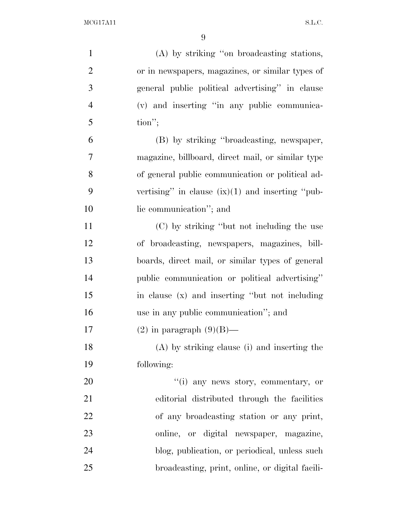| $\mathbf{1}$   | (A) by striking "on broadcasting stations,         |
|----------------|----------------------------------------------------|
| $\overline{2}$ | or in newspapers, magazines, or similar types of   |
| 3              | general public political advertising" in clause    |
| $\overline{4}$ | (v) and inserting "in any public communica-        |
| 5              | $\text{tion}''$ ;                                  |
| 6              | (B) by striking "broadcasting, newspaper,          |
| 7              | magazine, billboard, direct mail, or similar type  |
| 8              | of general public communication or political ad-   |
| 9              | vertising" in clause $(ix)(1)$ and inserting "pub- |
| 10             | lic communication"; and                            |
| 11             | (C) by striking "but not including the use         |
| 12             | of broadcasting, newspapers, magazines, bill-      |
| 13             | boards, direct mail, or similar types of general   |
| 14             | public communication or political advertising"     |
| 15             | in clause (x) and inserting "but not including     |
| 16             | use in any public communication"; and              |
| 17             | $(2)$ in paragraph $(9)(B)$ —                      |
| 18             | (A) by striking clause (i) and inserting the       |
| 19             | following:                                         |
| 20             | "(i) any news story, commentary, or                |
| 21             | editorial distributed through the facilities       |
| 22             | of any broadcasting station or any print,          |
| 23             | online, or digital newspaper, magazine,            |
| 24             | blog, publication, or periodical, unless such      |
| 25             | broadcasting, print, online, or digital facili-    |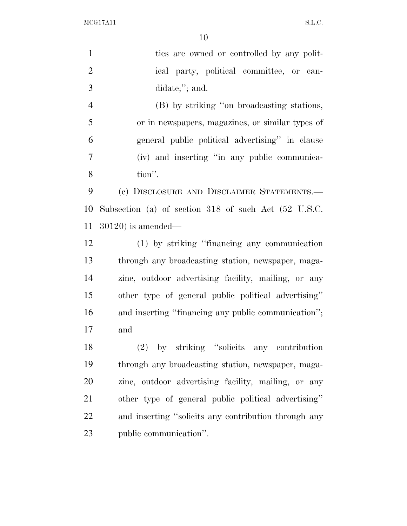| $\mathbf{1}$   | ties are owned or controlled by any polit-           |
|----------------|------------------------------------------------------|
| $\overline{2}$ | ical party, political committee, or can-             |
| 3              | didate;"; and.                                       |
| $\overline{4}$ | (B) by striking "on broadcasting stations,           |
| 5              | or in newspapers, magazines, or similar types of     |
| 6              | general public political advertising" in clause      |
| 7              | (iv) and inserting "in any public communica-         |
| 8              | tion".                                               |
| 9              | (c) DISCLOSURE AND DISCLAIMER STATEMENTS.-           |
| 10             | Subsection (a) of section 318 of such Act (52 U.S.C. |
| 11             | $30120$ ) is amended—                                |
| 12             | (1) by striking "financing any communication         |
| 13             | through any broadcasting station, newspaper, maga-   |
| 14             | zine, outdoor advertising facility, mailing, or any  |
| 15             | other type of general public political advertising"  |
| 16             | and inserting "financing any public communication";  |
| 17             | and                                                  |
| 18             | (2) by striking "solicits any contribution           |
| 19             | through any broadcasting station, newspaper, maga-   |
| 20             | zine, outdoor advertising facility, mailing, or any  |
| 21             | other type of general public political advertising"  |
| 22             | and inserting "solicits any contribution through any |
| 23             | public communication".                               |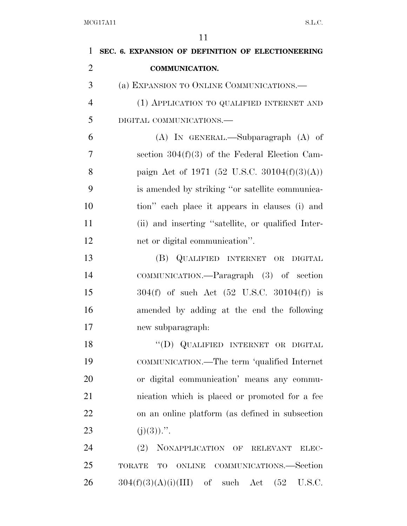| $\mathbf{1}$   | SEC. 6. EXPANSION OF DEFINITION OF ELECTIONEERING               |
|----------------|-----------------------------------------------------------------|
| $\overline{2}$ | <b>COMMUNICATION.</b>                                           |
| 3              | (a) EXPANSION TO ONLINE COMMUNICATIONS.—                        |
| $\overline{4}$ | (1) APPLICATION TO QUALIFIED INTERNET AND                       |
| 5              | DIGITAL COMMUNICATIONS.-                                        |
| 6              | $(A)$ IN GENERAL.—Subparagraph $(A)$ of                         |
| 7              | section $304(f)(3)$ of the Federal Election Cam-                |
| 8              | paign Act of 1971 (52 U.S.C. 30104(f)(3)(A))                    |
| 9              | is amended by striking "or satellite communica-                 |
| 10             | tion" each place it appears in clauses (i) and                  |
| 11             | (ii) and inserting "satellite, or qualified Inter-              |
| 12             | net or digital communication".                                  |
| 13             | (B) QUALIFIED INTERNET OR DIGITAL                               |
| 14             | COMMUNICATION.—Paragraph (3) of section                         |
| 15             | $304(f)$ of such Act $(52 \text{ U.S.C. } 30104(f))$ is         |
| 16             | amended by adding at the end the following                      |
| 17             | new subparagraph:                                               |
| 18             | "(D) QUALIFIED INTERNET OR DIGITAL                              |
| 19             | COMMUNICATION.—The term 'qualified Internet                     |
| 20             | or digital communication' means any commu-                      |
| 21             | nication which is placed or promoted for a fee                  |
| 22             | on an online platform (as defined in subsection                 |
| 23             | $(j)(3))$ .".                                                   |
| 24             | (2)<br>NONAPPLICATION OF<br><b>RELEVANT</b><br>ELEC-            |
| 25             | COMMUNICATIONS.—Section<br><b>TORATE</b><br>TO<br><b>ONLINE</b> |
| 26             | $304(f)(3)(A)(i)(III)$ of such Act<br>(52)<br>U.S.C.            |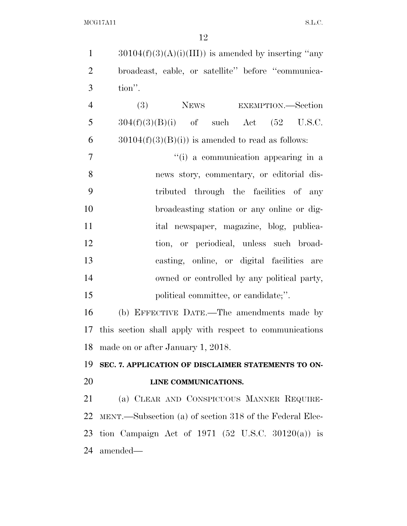| $\mathbf{1}$   | $30104(f)(3)(A)(i)(III))$ is amended by inserting "any     |
|----------------|------------------------------------------------------------|
| $\overline{2}$ | broadcast, cable, or satellite" before "communica-         |
| 3              | tion".                                                     |
| $\overline{4}$ | NEWS EXEMPTION.—Section<br>(3)                             |
| 5              | $304(f)(3)(B)(i)$ of such Act $(52 \text{ U.S.C.})$        |
| 6              | $30104(f)(3)(B(i))$ is amended to read as follows:         |
| $\overline{7}$ | "(i) a communication appearing in a                        |
| 8              | news story, commentary, or editorial dis-                  |
| 9              | tributed through the facilities of any                     |
| 10             | broadcasting station or any online or dig-                 |
| 11             | ital newspaper, magazine, blog, publica-                   |
| 12             | tion, or periodical, unless such broad-                    |
| 13             | casting, online, or digital facilities are                 |
| 14             | owned or controlled by any political party,                |
| 15             | political committee, or candidate;".                       |
| 16             | (b) EFFECTIVE DATE.—The amendments made by                 |
|                | 17 this section shall apply with respect to communications |
|                | 18 made on or after January 1, 2018.                       |
| 19             | SEC. 7. APPLICATION OF DISCLAIMER STATEMENTS TO ON-        |
| 20             | LINE COMMUNICATIONS.                                       |
| 21             | (a) CLEAR AND CONSPICUOUS MANNER REQUIRE-                  |
| 22             | MENT.—Subsection (a) of section 318 of the Federal Elec-   |
| 23             | tion Campaign Act of 1971 (52 U.S.C. 30120(a)) is          |
| 24             | amended—                                                   |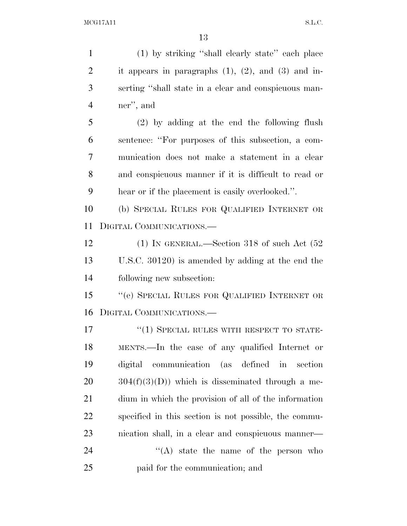(1) by striking ''shall clearly state'' each place 2 it appears in paragraphs  $(1)$ ,  $(2)$ , and  $(3)$  and in- serting ''shall state in a clear and conspicuous man- ner'', and (2) by adding at the end the following flush sentence: ''For purposes of this subsection, a com- munication does not make a statement in a clear and conspicuous manner if it is difficult to read or hear or if the placement is easily overlooked.''. (b) SPECIAL RULES FOR QUALIFIED INTERNET OR DIGITAL COMMUNICATIONS.— 12 (1) IN GENERAL.—Section 318 of such Act (52) U.S.C. 30120) is amended by adding at the end the following new subsection: 15 "(e) SPECIAL RULES FOR QUALIFIED INTERNET OR DIGITAL COMMUNICATIONS.—

17 <sup>''</sup>(1) SPECIAL RULES WITH RESPECT TO STATE- MENTS.—In the case of any qualified Internet or digital communication (as defined in section  $20 \qquad 304(f)(3)(D)$  which is disseminated through a me- dium in which the provision of all of the information specified in this section is not possible, the commu- nication shall, in a clear and conspicuous manner— 24 ''(A) state the name of the person who

paid for the communication; and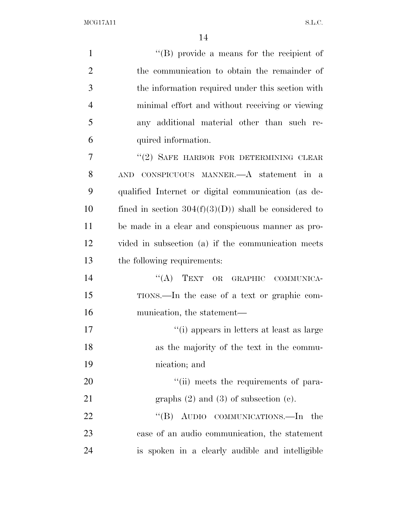| $\mathbf{1}$   | $\lq\lq$ (B) provide a means for the recipient of      |
|----------------|--------------------------------------------------------|
| $\overline{2}$ | the communication to obtain the remainder of           |
| 3              | the information required under this section with       |
| $\overline{4}$ | minimal effort and without receiving or viewing        |
| 5              | any additional material other than such re-            |
| 6              | quired information.                                    |
| 7              | "(2) SAFE HARBOR FOR DETERMINING CLEAR                 |
| 8              | CONSPICUOUS MANNER.—A statement in a<br><b>AND</b>     |
| 9              | qualified Internet or digital communication (as de-    |
| 10             | fined in section $304(f)(3)(D)$ shall be considered to |
| 11             | be made in a clear and conspicuous manner as pro-      |
| 12             | vided in subsection (a) if the communication meets     |
| 13             | the following requirements:                            |
| 14             | "(A) TEXT OR GRAPHIC COMMUNICA-                        |
| 15             | TIONS.—In the case of a text or graphic com-           |
| 16             | munication, the statement—                             |
| 17             | "(i) appears in letters at least as large              |
| 18             | as the majority of the text in the commu-              |
| 19             | nication; and                                          |
| 20             | "(ii) meets the requirements of para-                  |
| 21             | graphs $(2)$ and $(3)$ of subsection $(e)$ .           |
| 22             | "(B) AUDIO COMMUNICATIONS.—In the                      |
| 23             | case of an audio communication, the statement          |
| 24             | is spoken in a clearly audible and intelligible        |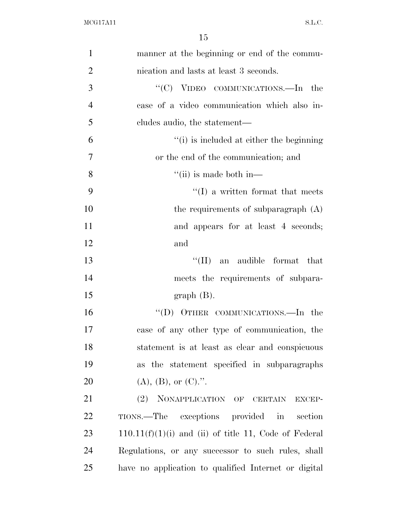| $\mathbf{1}$   | manner at the beginning or end of the commu-            |
|----------------|---------------------------------------------------------|
| $\overline{2}$ | nication and lasts at least 3 seconds.                  |
| 3              | " $(C)$ VIDEO COMMUNICATIONS.—In the                    |
| $\overline{4}$ | case of a video communication which also in-            |
| 5              | cludes audio, the statement—                            |
| 6              | "(i) is included at either the beginning                |
| 7              | or the end of the communication; and                    |
| 8              | $\lq\lq$ (ii) is made both in—                          |
| 9              | $\lq\lq$ a written format that meets                    |
| 10             | the requirements of subparagraph $(A)$                  |
| 11             | and appears for at least 4 seconds;                     |
| 12             | and                                                     |
| 13             | $``(\Pi)$<br>an audible format that                     |
| 14             | meets the requirements of subpara-                      |
| 15             | $graph(B)$ .                                            |
| 16             | "(D) OTHER COMMUNICATIONS.—In the                       |
| 17             | case of any other type of communication, the            |
| 18             | statement is at least as clear and conspicuous          |
| 19             | as the statement specified in subparagraphs             |
| 20             | $(A), (B),$ or $(C).$ ".                                |
| 21             | (2) NONAPPLICATION OF CERTAIN<br>EXCEP-                 |
| 22             | TIONS.—The exceptions provided in<br>section            |
| 23             | $110.11(f)(1)(i)$ and (ii) of title 11, Code of Federal |
| 24             | Regulations, or any successor to such rules, shall      |
| 25             | have no application to qualified Internet or digital    |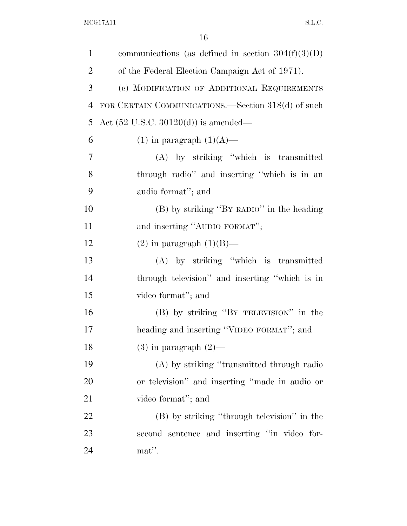| $\mathbf{1}$   | communications (as defined in section $304(f)(3)(D)$ ) |
|----------------|--------------------------------------------------------|
| $\overline{2}$ | of the Federal Election Campaign Act of 1971).         |
| 3              | (c) MODIFICATION OF ADDITIONAL REQUIREMENTS            |
| $\overline{4}$ | FOR CERTAIN COMMUNICATIONS.—Section 318(d) of such     |
| 5              | Act $(52 \text{ U.S.C. } 30120(d))$ is amended—        |
| 6              | $(1)$ in paragraph $(1)(A)$ —                          |
| 7              | (A) by striking "which is transmitted                  |
| 8              | through radio" and inserting "which is in an           |
| 9              | audio format"; and                                     |
| 10             | (B) by striking "BY RADIO" in the heading              |
| 11             | and inserting "AUDIO FORMAT";                          |
| 12             | $(2)$ in paragraph $(1)(B)$ —                          |
| 13             | (A) by striking "which is transmitted                  |
| 14             | through television" and inserting "which is in         |
| 15             | video format"; and                                     |
| 16             | (B) by striking "BY TELEVISION" in the                 |
| 17             | heading and inserting "VIDEO FORMAT"; and              |
| 18             | $(3)$ in paragraph $(2)$ —                             |
| 19             | (A) by striking "transmitted through radio             |
| 20             | or television" and inserting "made in audio or         |
| 21             | video format"; and                                     |
| 22             | (B) by striking "through television" in the            |
| 23             | second sentence and inserting "in video for-           |
| 24             | mat".                                                  |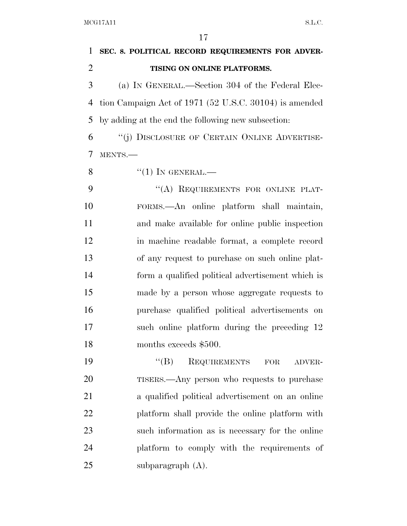| 1              | SEC. 8. POLITICAL RECORD REQUIREMENTS FOR ADVER-       |
|----------------|--------------------------------------------------------|
| $\overline{2}$ | TISING ON ONLINE PLATFORMS.                            |
| 3              | (a) IN GENERAL.—Section 304 of the Federal Elec-       |
| 4              | tion Campaign Act of 1971 (52 U.S.C. 30104) is amended |
| 5              | by adding at the end the following new subsection:     |
| 6              | "(j) DISCLOSURE OF CERTAIN ONLINE ADVERTISE-           |
| 7              | MENTS.-                                                |
| 8              | $``(1)$ IN GENERAL.—                                   |
| 9              | "(A) REQUIREMENTS FOR ONLINE PLAT-                     |
| 10             | FORMS.—An online platform shall maintain,              |
| 11             | and make available for online public inspection        |
| 12             | in machine readable format, a complete record          |
| 13             | of any request to purchase on such online plat-        |
| 14             | form a qualified political advertisement which is      |
| 15             | made by a person whose aggregate requests to           |
| 16             | purchase qualified political advertisements on         |
| 17             | such online platform during the preceding 12           |
| 18             | months exceeds \$500.                                  |
| 19             | $\lq\lq (B)$<br>REQUIREMENTS FOR<br>ADVER-             |
| 20             | TISERS.—Any person who requests to purchase            |
| 21             | a qualified political advertisement on an online       |
| 22             | platform shall provide the online platform with        |
| 23             | such information as is necessary for the online        |
| 24             | platform to comply with the requirements of            |
| 25             | subparagraph $(A)$ .                                   |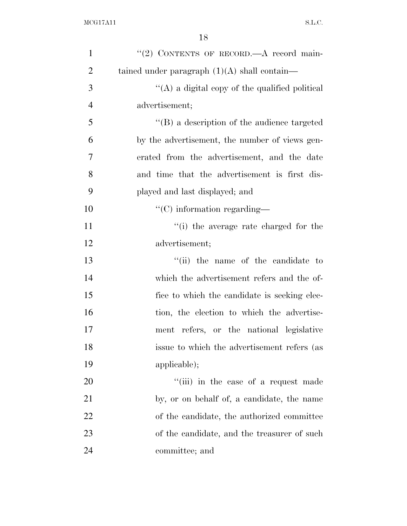| $\mathbf{1}$   | "(2) CONTENTS OF RECORD. A record main-             |
|----------------|-----------------------------------------------------|
| $\overline{2}$ | tained under paragraph $(1)(A)$ shall contain—      |
| 3              | "(A) a digital copy of the qualified political      |
| $\overline{4}$ | advertisement;                                      |
| 5              | $\lq\lq (B)$ a description of the audience targeted |
| 6              | by the advertisement, the number of views gen-      |
| 7              | erated from the advertisement, and the date         |
| 8              | and time that the advertisement is first dis-       |
| 9              | played and last displayed; and                      |
| 10             | $\lq\lq$ (C) information regarding—                 |
| 11             | "(i) the average rate charged for the               |
| 12             | advertisement;                                      |
| 13             | "(ii) the name of the candidate to                  |
| 14             | which the advertisement refers and the of-          |
| 15             | fice to which the candidate is seeking elec-        |
| 16             | tion, the election to which the advertise-          |
| 17             | ment refers, or the national legislative            |
| 18             | issue to which the advertisement refers (as         |
| 19             | applicable);                                        |
| 20             | "(iii) in the case of a request made                |
| 21             | by, or on behalf of, a candidate, the name          |
| 22             | of the candidate, the authorized committee          |
| 23             | of the candidate, and the treasurer of such         |
| 24             | committee; and                                      |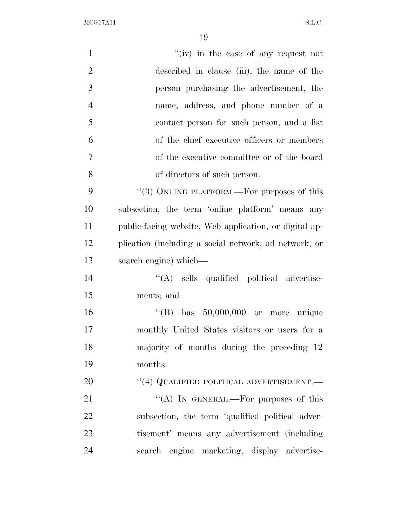| $\mathbf{1}$   | "(iv) in the case of any request not                   |
|----------------|--------------------------------------------------------|
| $\overline{2}$ | described in clause (iii), the name of the             |
| 3              | person purchasing the advertisement, the               |
| $\overline{4}$ | name, address, and phone number of a                   |
| 5              | contact person for such person, and a list             |
| 6              | of the chief executive officers or members             |
| $\overline{7}$ | of the executive committee or of the board             |
| 8              | of directors of such person.                           |
| 9              | "(3) ONLINE PLATFORM.—For purposes of this             |
| 10             | subsection, the term 'online platform' means any       |
| 11             | public-facing website, Web application, or digital ap- |
| 12             | plication (including a social network, ad network, or  |
| 13             | search engine) which—                                  |
| 14             | "(A) sells qualified political advertise-              |
| 15             | ments; and                                             |
| 16             | "(B) has $50,000,000$ or more unique                   |
| 17             | monthly United States visitors or users for a          |
| 18             | majority of months during the preceding 12             |
| 19             | months.                                                |
| 20             | $``(4)$ QUALIFIED POLITICAL ADVERTISEMENT.—            |
| 21             | "(A) IN GENERAL.—For purposes of this                  |
| 22             | subsection, the term 'qualified political adver-       |
| 23             | tisement' means any advertisement (including)          |
| 24             | search engine marketing, display advertise-            |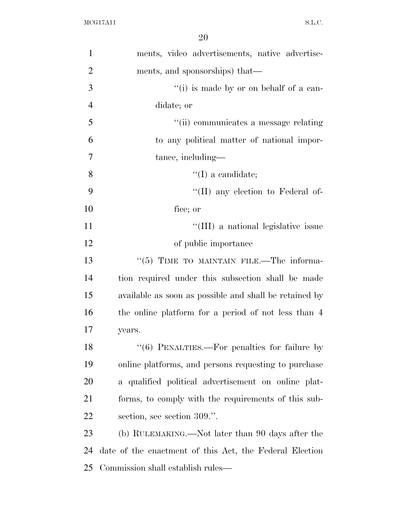| $\mathbf{1}$   | ments, video advertisements, native advertise-          |
|----------------|---------------------------------------------------------|
| $\overline{2}$ | ments, and sponsorships) that—                          |
| 3              | "(i) is made by or on behalf of a can-                  |
| $\overline{4}$ | didate; or                                              |
| 5              | "(ii) communicates a message relating                   |
| 6              | to any political matter of national impor-              |
| 7              | tance, including—                                       |
| 8              | $\lq\lq$ (I) a candidate;                               |
| 9              | $\lq\lq$ (II) any election to Federal of-               |
| 10             | fice; or                                                |
| 11             | "(III) a national legislative issue                     |
| 12             | of public importance                                    |
| 13             | $\cdot\cdot$ (5) TIME TO MAINTAIN FILE.—The informa-    |
| 14             | tion required under this subsection shall be made       |
| 15             | available as soon as possible and shall be retained by  |
| 16             | the online platform for a period of not less than 4     |
| 17             | years.                                                  |
| 18             | $"(6)$ PENALTIES.—For penalties for failure by          |
| 19             | online platforms, and persons requesting to purchase    |
| 20             | a qualified political advertisement on online plat-     |
| 21             | forms, to comply with the requirements of this sub-     |
| 22             | section, see section 309.".                             |
| 23             | (b) RULEMAKING.—Not later than 90 days after the        |
| 24             | date of the enactment of this Act, the Federal Election |
| 25             | Commission shall establish rules—                       |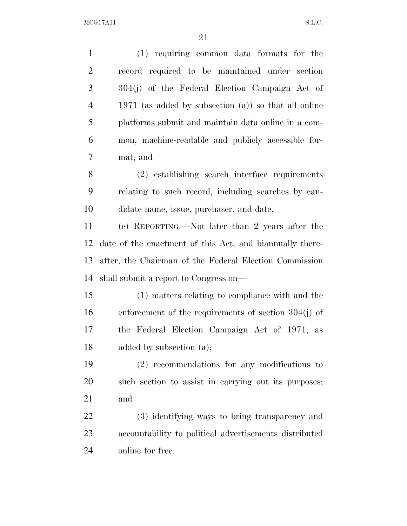| $\mathbf{1}$   | (1) requiring common data formats for the                |
|----------------|----------------------------------------------------------|
| $\overline{2}$ | record required to be maintained under section           |
| 3              | 304(j) of the Federal Election Campaign Act of           |
| $\overline{4}$ | 1971 (as added by subsection $(a)$ ) so that all online  |
| 5              | platforms submit and maintain data online in a com-      |
| 6              | mon, machine-readable and publicly accessible for-       |
| $\tau$         | mat; and                                                 |
| 8              | (2) establishing search interface requirements           |
| 9              | relating to such record, including searches by can-      |
| 10             | didate name, issue, purchaser, and date.                 |
| 11             | (c) REPORTING.—Not later than 2 years after the          |
| 12             | date of the enactment of this Act, and biannually there- |
| 13             | after, the Chairman of the Federal Election Commission   |
| 14             | shall submit a report to Congress on—                    |
| 15             | (1) matters relating to compliance with and the          |
| 16             | enforcement of the requirements of section $304(j)$ of   |
| 17             | the Federal Election Campaign Act of 1971, as            |
| 18             | added by subsection (a);                                 |
| 19             | $(2)$ recommendations for any modifications to           |
| 20             | such section to assist in carrying out its purposes;     |
| 21             | and                                                      |
| 22             | (3) identifying ways to bring transparency and           |
| 23             | accountability to political advertisements distributed   |
| 24             | online for free.                                         |